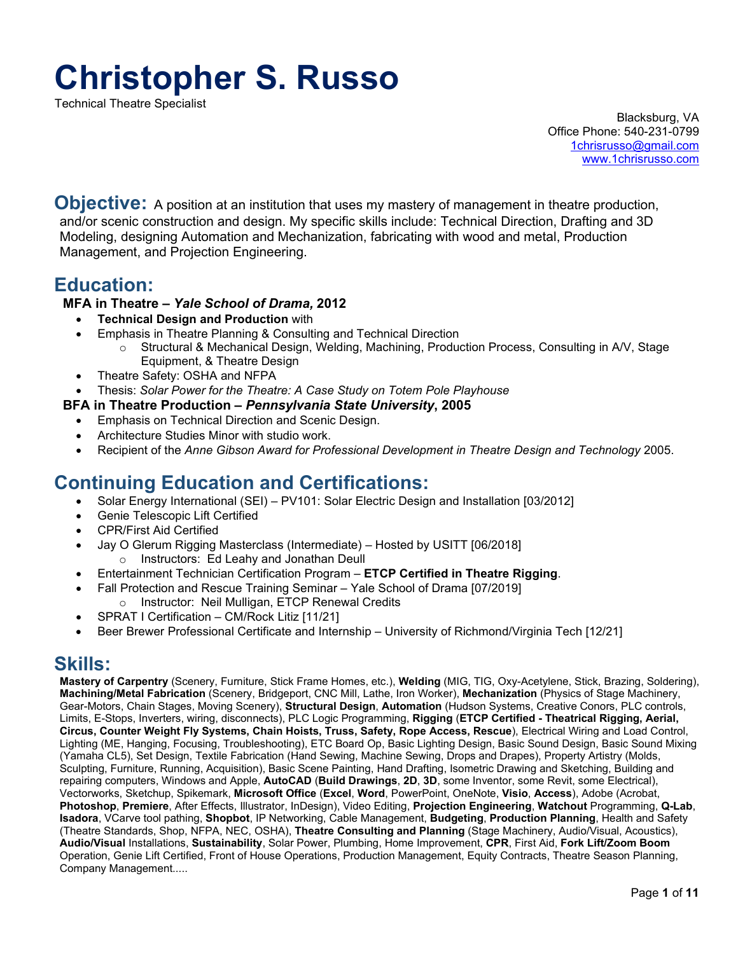# **Christopher S. Russo**

Technical Theatre Specialist

Blacksburg, VA Office Phone: 540-231-0799 [1chrisrusso@gmail.com](mailto:1chrisrusso@gmail.com) [www.1chrisrusso.com](http://www.1chrisrusso.com/)

**Objective:** A position at an institution that uses my mastery of management in theatre production, and/or scenic construction and design. My specific skills include: Technical Direction, Drafting and 3D Modeling, designing Automation and Mechanization, fabricating with wood and metal, Production Management, and Projection Engineering.

# **Education:**

# **MFA in Theatre –** *Yale School of Drama,* **2012**

- **Technical Design and Production** with
- Emphasis in Theatre Planning & Consulting and Technical Direction
	- o Structural & Mechanical Design, Welding, Machining, Production Process, Consulting in A/V, Stage Equipment, & Theatre Design
- Theatre Safety: OSHA and NFPA
- Thesis: *Solar Power for the Theatre: A Case Study on Totem Pole Playhouse*

# **BFA in Theatre Production –** *Pennsylvania State University***, 2005**

- Emphasis on Technical Direction and Scenic Design.
- Architecture Studies Minor with studio work.
- Recipient of the *Anne Gibson Award for Professional Development in Theatre Design and Technology* 2005.

# **Continuing Education and Certifications:**

- Solar Energy International (SEI) PV101: Solar Electric Design and Installation [03/2012]
- Genie Telescopic Lift Certified
- CPR/First Aid Certified
- Jay O Glerum Rigging Masterclass (Intermediate) Hosted by USITT [06/2018] o Instructors: Ed Leahy and Jonathan Deull
- Entertainment Technician Certification Program **ETCP Certified in Theatre Rigging**.
- Fall Protection and Rescue Training Seminar Yale School of Drama [07/2019] o Instructor: Neil Mulligan, ETCP Renewal Credits
- SPRAT I Certification CM/Rock Litiz [11/21]
- Beer Brewer Professional Certificate and Internship University of Richmond/Virginia Tech [12/21]

# **Skills:**

**Mastery of Carpentry** (Scenery, Furniture, Stick Frame Homes, etc.), **Welding** (MIG, TIG, Oxy-Acetylene, Stick, Brazing, Soldering), **Machining/Metal Fabrication** (Scenery, Bridgeport, CNC Mill, Lathe, Iron Worker), **Mechanization** (Physics of Stage Machinery, Gear-Motors, Chain Stages, Moving Scenery), **Structural Design**, **Automation** (Hudson Systems, Creative Conors, PLC controls, Limits, E-Stops, Inverters, wiring, disconnects), PLC Logic Programming, **Rigging** (**ETCP Certified - Theatrical Rigging, Aerial, Circus, Counter Weight Fly Systems, Chain Hoists, Truss, Safety, Rope Access, Rescue**), Electrical Wiring and Load Control, Lighting (ME, Hanging, Focusing, Troubleshooting), ETC Board Op, Basic Lighting Design, Basic Sound Design, Basic Sound Mixing (Yamaha CL5), Set Design, Textile Fabrication (Hand Sewing, Machine Sewing, Drops and Drapes), Property Artistry (Molds, Sculpting, Furniture, Running, Acquisition), Basic Scene Painting, Hand Drafting, Isometric Drawing and Sketching, Building and repairing computers, Windows and Apple, **AutoCAD** (**Build Drawings**, **2D**, **3D**, some Inventor, some Revit, some Electrical), Vectorworks, Sketchup, Spikemark, **Microsoft Office** (**Excel**, **Word**, PowerPoint, OneNote, **Visio**, **Access**), Adobe (Acrobat, **Photoshop**, **Premiere**, After Effects, Illustrator, InDesign), Video Editing, **Projection Engineering**, **Watchout** Programming, **Q-Lab**, **Isadora**, VCarve tool pathing, **Shopbot**, IP Networking, Cable Management, **Budgeting**, **Production Planning**, Health and Safety (Theatre Standards, Shop, NFPA, NEC, OSHA), **Theatre Consulting and Planning** (Stage Machinery, Audio/Visual, Acoustics), **Audio/Visual** Installations, **Sustainability**, Solar Power, Plumbing, Home Improvement, **CPR**, First Aid, **Fork Lift/Zoom Boom** Operation, Genie Lift Certified, Front of House Operations, Production Management, Equity Contracts, Theatre Season Planning, Company Management.....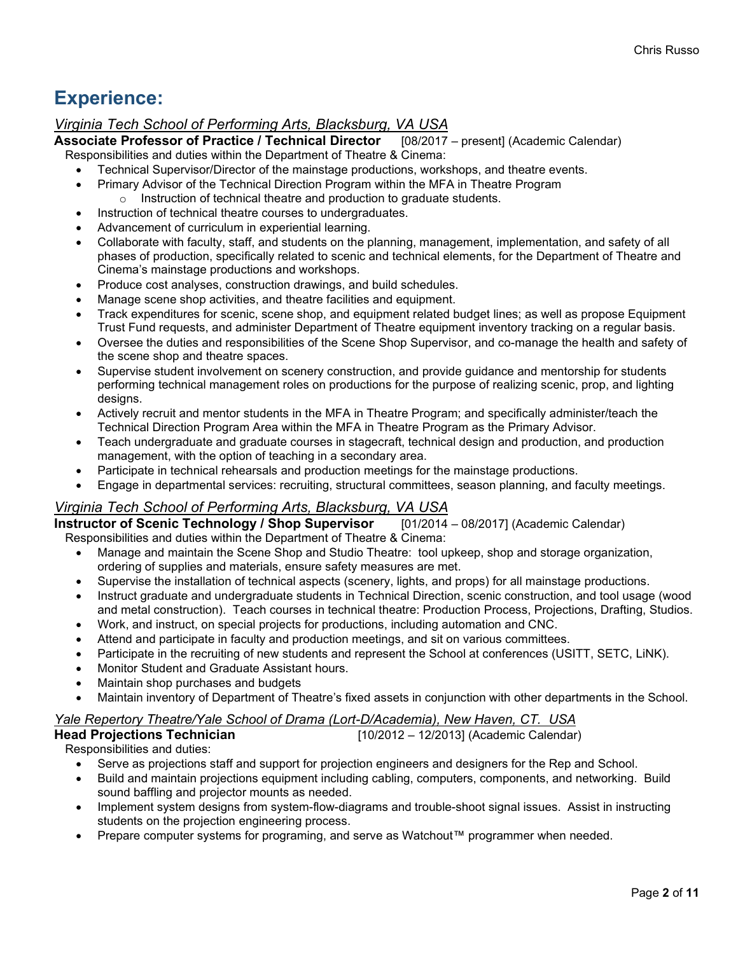# **Experience:**

# *Virginia Tech School of Performing Arts, Blacksburg, VA USA*

**Associate Professor of Practice / Technical Director** [08/2017 – present] (Academic Calendar)

Responsibilities and duties within the Department of Theatre & Cinema:

- Technical Supervisor/Director of the mainstage productions, workshops, and theatre events.
- Primary Advisor of the Technical Direction Program within the MFA in Theatre Program
	- o Instruction of technical theatre and production to graduate students.
- Instruction of technical theatre courses to undergraduates.
- Advancement of curriculum in experiential learning.
- Collaborate with faculty, staff, and students on the planning, management, implementation, and safety of all phases of production, specifically related to scenic and technical elements, for the Department of Theatre and Cinema's mainstage productions and workshops.
- Produce cost analyses, construction drawings, and build schedules.
- Manage scene shop activities, and theatre facilities and equipment.
- Track expenditures for scenic, scene shop, and equipment related budget lines; as well as propose Equipment Trust Fund requests, and administer Department of Theatre equipment inventory tracking on a regular basis.
- Oversee the duties and responsibilities of the Scene Shop Supervisor, and co-manage the health and safety of the scene shop and theatre spaces.
- Supervise student involvement on scenery construction, and provide guidance and mentorship for students performing technical management roles on productions for the purpose of realizing scenic, prop, and lighting designs.
- Actively recruit and mentor students in the MFA in Theatre Program; and specifically administer/teach the Technical Direction Program Area within the MFA in Theatre Program as the Primary Advisor.
- Teach undergraduate and graduate courses in stagecraft, technical design and production, and production management, with the option of teaching in a secondary area.
- Participate in technical rehearsals and production meetings for the mainstage productions.
- Engage in departmental services: recruiting, structural committees, season planning, and faculty meetings.

*Virginia Tech School of Performing Arts, Blacksburg, VA USA*<br>**Instructor of Scenic Technology / Shop Supervisor** [01/2014 – 08/2017] (Academic Calendar) **Instructor of Scenic Technology / Shop Supervisor** Responsibilities and duties within the Department of Theatre & Cinema:

- Manage and maintain the Scene Shop and Studio Theatre: tool upkeep, shop and storage organization, ordering of supplies and materials, ensure safety measures are met.
- Supervise the installation of technical aspects (scenery, lights, and props) for all mainstage productions.
- Instruct graduate and undergraduate students in Technical Direction, scenic construction, and tool usage (wood and metal construction). Teach courses in technical theatre: Production Process, Projections, Drafting, Studios.
- Work, and instruct, on special projects for productions, including automation and CNC.
- Attend and participate in faculty and production meetings, and sit on various committees.
- Participate in the recruiting of new students and represent the School at conferences (USITT, SETC, LiNK).
- Monitor Student and Graduate Assistant hours.
- Maintain shop purchases and budgets
- Maintain inventory of Department of Theatre's fixed assets in conjunction with other departments in the School.

# *Yale Repertory Theatre/Yale School of Drama (Lort-D/Academia), New Haven, CT. USA*

|  | <b>Head Projections Technician</b> | $[10/2012 - 12/2013]$ (Academic Calendar) |  |
|--|------------------------------------|-------------------------------------------|--|
|  | Responsibilities and duties:       |                                           |  |

Responsibilities and duties:

- Serve as projections staff and support for projection engineers and designers for the Rep and School.
- Build and maintain projections equipment including cabling, computers, components, and networking. Build sound baffling and projector mounts as needed.
- Implement system designs from system-flow-diagrams and trouble-shoot signal issues. Assist in instructing students on the projection engineering process.
- Prepare computer systems for programing, and serve as Watchout™ programmer when needed.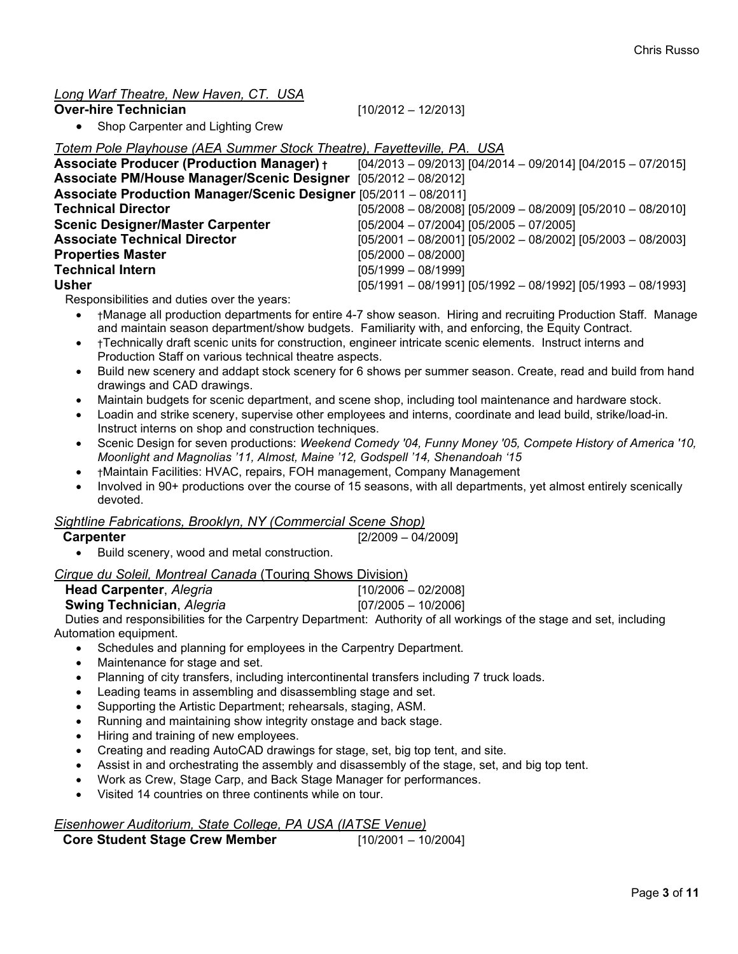# *Long Warf Theatre, New Haven, CT. USA*

#### **Over-hire Technician** [10/2012 – 12/2013]

• Shop Carpenter and Lighting Crew

*Totem Pole Playhouse (AEA Summer Stock Theatre), Fayetteville, PA. USA*

| <b>Associate Producer (Production Manager) +</b>                 | $[04/2013 - 09/2013]$ $[04/2014 - 09/2014]$ $[04/2015 - 07/2015]$ |
|------------------------------------------------------------------|-------------------------------------------------------------------|
| Associate PM/House Manager/Scenic Designer [05/2012 - 08/2012]   |                                                                   |
| Associate Production Manager/Scenic Designer [05/2011 - 08/2011] |                                                                   |
| <b>Technical Director</b>                                        | $[05/2008 - 08/2008]$ $[05/2009 - 08/2009]$ $[05/2010 - 08/2010]$ |
| <b>Scenic Designer/Master Carpenter</b>                          | $[05/2004 - 07/2004]$ $[05/2005 - 07/2005]$                       |
| <b>Associate Technical Director</b>                              | $[05/2001 - 08/2001]$ $[05/2002 - 08/2002]$ $[05/2003 - 08/2003]$ |
| <b>Properties Master</b>                                         | $[05/2000 - 08/2000]$                                             |
| <b>Technical Intern</b>                                          | $[05/1999 - 08/1999]$                                             |
| <b>Usher</b>                                                     | $[05/1991 - 08/1991]$ $[05/1992 - 08/1992]$ $[05/1993 - 08/1993]$ |

Responsibilities and duties over the years:

- †Manage all production departments for entire 4-7 show season. Hiring and recruiting Production Staff. Manage and maintain season department/show budgets. Familiarity with, and enforcing, the Equity Contract.
- †Technically draft scenic units for construction, engineer intricate scenic elements. Instruct interns and Production Staff on various technical theatre aspects.
- Build new scenery and addapt stock scenery for 6 shows per summer season. Create, read and build from hand drawings and CAD drawings.
- Maintain budgets for scenic department, and scene shop, including tool maintenance and hardware stock.
- Loadin and strike scenery, supervise other employees and interns, coordinate and lead build, strike/load-in. Instruct interns on shop and construction techniques.
- Scenic Design for seven productions: *Weekend Comedy '04, Funny Money '05, Compete History of America '10, Moonlight and Magnolias '11, Almost, Maine '12, Godspell '14, Shenandoah '15*
- †Maintain Facilities: HVAC, repairs, FOH management, Company Management
- Involved in 90+ productions over the course of 15 seasons, with all departments, yet almost entirely scenically devoted.

#### *Sightline Fabrications, Brooklyn, NY (Commercial Scene Shop)*

| <b>Carpenter</b> | $[2/2009 - 04/2009]$ |
|------------------|----------------------|
|------------------|----------------------|

• Build scenery, wood and metal construction.

| Cirque du Soleil, Montreal Canada (Touring Shows Division) |  |
|------------------------------------------------------------|--|
|                                                            |  |

| <b>Head Carpenter, Alegria</b>                                                                                                                                                                                                                                                                   | $[10/2006 - 02/2008]$ |            |
|--------------------------------------------------------------------------------------------------------------------------------------------------------------------------------------------------------------------------------------------------------------------------------------------------|-----------------------|------------|
| $\mathbf{0}$ and $\mathbf{0}$ are $\mathbf{0}$ and $\mathbf{0}$ are $\mathbf{0}$ and $\mathbf{0}$ and $\mathbf{0}$ are $\mathbf{0}$ and $\mathbf{0}$ are $\mathbf{0}$ and $\mathbf{0}$ are $\mathbf{0}$ and $\mathbf{0}$ are $\mathbf{0}$ and $\mathbf{0}$ are $\mathbf{0}$ and $\mathbf{0}$ are |                       | $\sqrt{2}$ |

| Swing Technician, Alegria                                                     | $[07/2005 - 10/2006]$ |
|-------------------------------------------------------------------------------|-----------------------|
| Duties and responsibilities for the Carpentry Department: Authority of all we |                       |

Duties and responsibilities for the Carpentry Department: Authority of all workings of the stage and set, including Automation equipment.

- Schedules and planning for employees in the Carpentry Department.
- Maintenance for stage and set.
- Planning of city transfers, including intercontinental transfers including 7 truck loads.
- Leading teams in assembling and disassembling stage and set.
- Supporting the Artistic Department; rehearsals, staging, ASM.
- Running and maintaining show integrity onstage and back stage.
- Hiring and training of new employees.
- Creating and reading AutoCAD drawings for stage, set, big top tent, and site.
- Assist in and orchestrating the assembly and disassembly of the stage, set, and big top tent.
- Work as Crew, Stage Carp, and Back Stage Manager for performances.
- Visited 14 countries on three continents while on tour.

# *Eisenhower Auditorium, State College, PA USA (IATSE Venue)*

| $[10/2001 - 10/2004]$ |
|-----------------------|
|                       |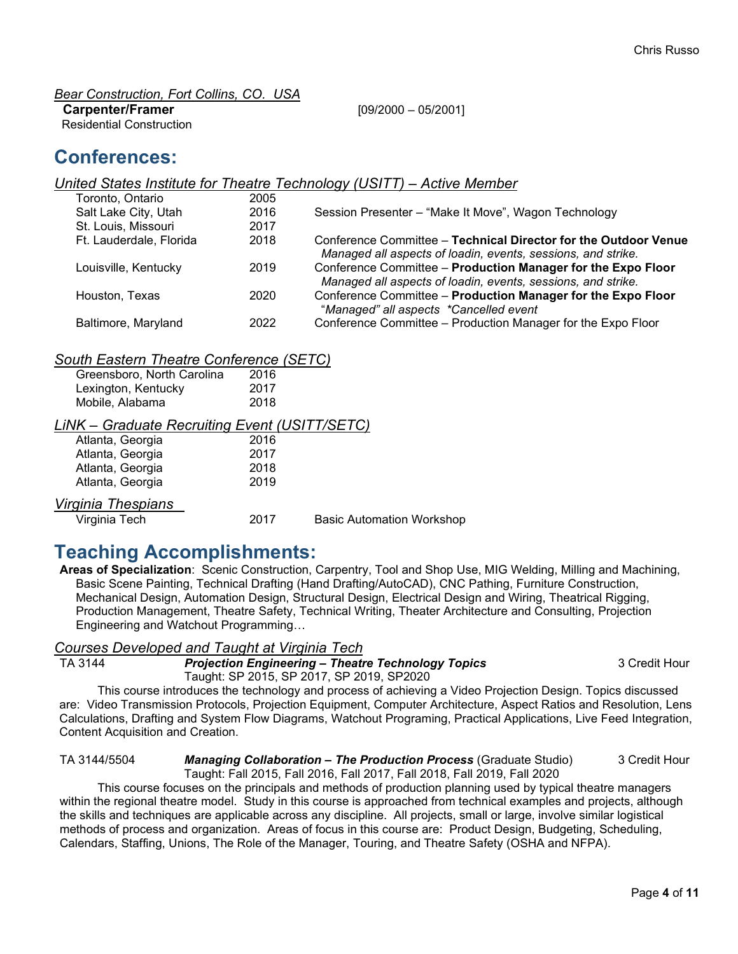*Bear Construction, Fort Collins, CO. USA*

#### **Carpenter/Framer** [09/2000 – 05/2001]

Residential Construction

# **Conferences:**

#### *United States Institute for Theatre Technology (USITT) – Active Member* Toronto, Ontario

| TUIUIIIU. UIIIAHU       | zuuu |                                                                 |
|-------------------------|------|-----------------------------------------------------------------|
| Salt Lake City, Utah    | 2016 | Session Presenter - "Make It Move", Wagon Technology            |
| St. Louis, Missouri     | 2017 |                                                                 |
| Ft. Lauderdale, Florida | 2018 | Conference Committee – Technical Director for the Outdoor Venue |
|                         |      | Managed all aspects of loadin, events, sessions, and strike.    |
| Louisville, Kentucky    | 2019 | Conference Committee - Production Manager for the Expo Floor    |
|                         |      | Managed all aspects of loadin, events, sessions, and strike.    |
| Houston, Texas          | 2020 | Conference Committee - Production Manager for the Expo Floor    |
|                         |      | "Managed" all aspects *Cancelled event                          |
| Baltimore, Maryland     | 2022 | Conference Committee - Production Manager for the Expo Floor    |

# *South Eastern Theatre Conference (SETC)*

| Greensboro, North Carolina | 2016 |
|----------------------------|------|
| Lexington, Kentucky        | 2017 |
| Mobile, Alabama            | 2018 |
|                            |      |

# *LiNK – Graduate Recruiting Event (USITT/SETC)*

| Atlanta, Georgia | 2016 |
|------------------|------|
| Atlanta, Georgia | 2017 |
| Atlanta, Georgia | 2018 |
| Atlanta, Georgia | 2019 |
|                  |      |

# *Virginia Thespians*

Virginia Tech 2017 Basic Automation Workshop

# **Teaching Accomplishments:**

**Areas of Specialization**: Scenic Construction, Carpentry, Tool and Shop Use, MIG Welding, Milling and Machining, Basic Scene Painting, Technical Drafting (Hand Drafting/AutoCAD), CNC Pathing, Furniture Construction, Mechanical Design, Automation Design, Structural Design, Electrical Design and Wiring, Theatrical Rigging, Production Management, Theatre Safety, Technical Writing, Theater Architecture and Consulting, Projection Engineering and Watchout Programming…

# *Courses Developed and Taught at Virginia Tech*

**Projection Engineering – Theatre Technology Topics 3 Credit Hour** 

Taught: SP 2015, SP 2017, SP 2019, SP2020

This course introduces the technology and process of achieving a Video Projection Design. Topics discussed are: Video Transmission Protocols, Projection Equipment, Computer Architecture, Aspect Ratios and Resolution, Lens Calculations, Drafting and System Flow Diagrams, Watchout Programing, Practical Applications, Live Feed Integration, Content Acquisition and Creation.

TA 3144/5504 *Managing Collaboration – The Production Process* (Graduate Studio) 3 Credit Hour Taught: Fall 2015, Fall 2016, Fall 2017, Fall 2018, Fall 2019, Fall 2020

This course focuses on the principals and methods of production planning used by typical theatre managers within the regional theatre model. Study in this course is approached from technical examples and projects, although the skills and techniques are applicable across any discipline. All projects, small or large, involve similar logistical methods of process and organization. Areas of focus in this course are: Product Design, Budgeting, Scheduling, Calendars, Staffing, Unions, The Role of the Manager, Touring, and Theatre Safety (OSHA and NFPA).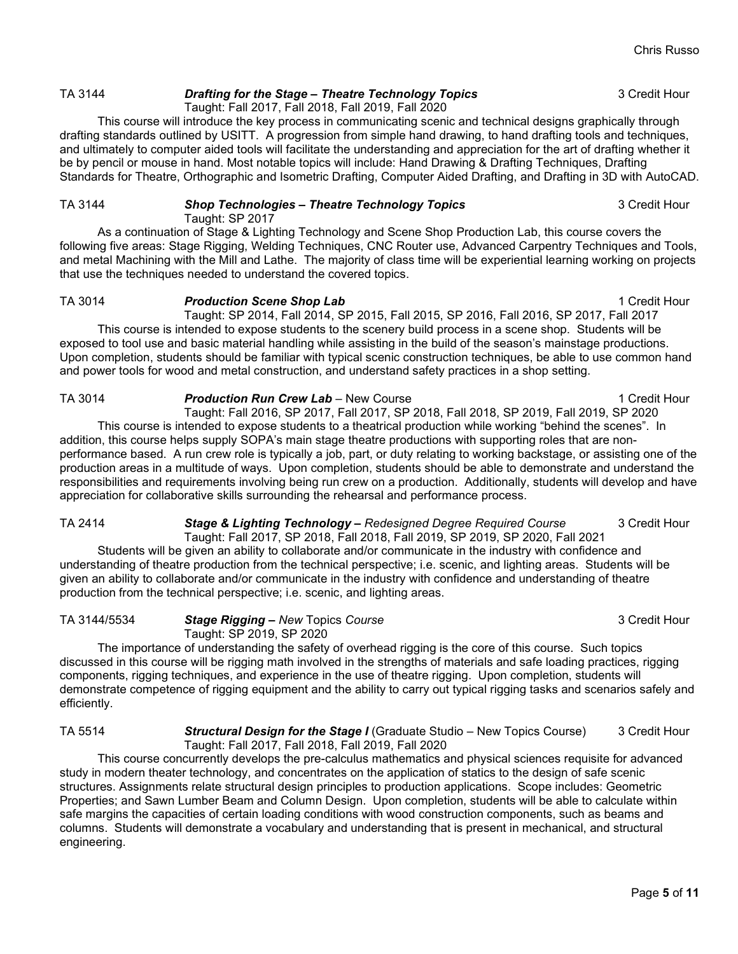# TA 3144 **Drafting for the Stage – Theatre Technology Topics** 3 Credit Hour

Taught: Fall 2017, Fall 2018, Fall 2019, Fall 2020

This course will introduce the key process in communicating scenic and technical designs graphically through drafting standards outlined by USITT. A progression from simple hand drawing, to hand drafting tools and techniques, and ultimately to computer aided tools will facilitate the understanding and appreciation for the art of drafting whether it be by pencil or mouse in hand. Most notable topics will include: Hand Drawing & Drafting Techniques, Drafting Standards for Theatre, Orthographic and Isometric Drafting, Computer Aided Drafting, and Drafting in 3D with AutoCAD.

#### TA 3144 *Shop Technologies – Theatre Technology Topics* 3 Credit Hour Taught: SP 2017

As a continuation of Stage & Lighting Technology and Scene Shop Production Lab, this course covers the following five areas: Stage Rigging, Welding Techniques, CNC Router use, Advanced Carpentry Techniques and Tools, and metal Machining with the Mill and Lathe. The majority of class time will be experiential learning working on projects that use the techniques needed to understand the covered topics.

#### TA 3014 **Production Scene Shop Lab** 1 Credit Hour

Taught: SP 2014, Fall 2014, SP 2015, Fall 2015, SP 2016, Fall 2016, SP 2017, Fall 2017 This course is intended to expose students to the scenery build process in a scene shop. Students will be exposed to tool use and basic material handling while assisting in the build of the season's mainstage productions. Upon completion, students should be familiar with typical scenic construction techniques, be able to use common hand and power tools for wood and metal construction, and understand safety practices in a shop setting.

#### TA 3014 **Production Run Crew Lab** – New Course 1 Credit Hour 1 Credit Hour

Taught: Fall 2016, SP 2017, Fall 2017, SP 2018, Fall 2018, SP 2019, Fall 2019, SP 2020 This course is intended to expose students to a theatrical production while working "behind the scenes". In addition, this course helps supply SOPA's main stage theatre productions with supporting roles that are nonperformance based. A run crew role is typically a job, part, or duty relating to working backstage, or assisting one of the production areas in a multitude of ways. Upon completion, students should be able to demonstrate and understand the responsibilities and requirements involving being run crew on a production. Additionally, students will develop and have appreciation for collaborative skills surrounding the rehearsal and performance process.

TA 2414 *Stage & Lighting Technology – Redesigned Degree Required Course* 3 Credit Hour Taught: Fall 2017, SP 2018, Fall 2018, Fall 2019, SP 2019, SP 2020, Fall 2021

Students will be given an ability to collaborate and/or communicate in the industry with confidence and understanding of theatre production from the technical perspective; i.e. scenic, and lighting areas. Students will be given an ability to collaborate and/or communicate in the industry with confidence and understanding of theatre production from the technical perspective; i.e. scenic, and lighting areas.

TA 3144/5534 *Stage Rigging – New* Topics *Course* 3 Credit Hour Taught: SP 2019, SP 2020

The importance of understanding the safety of overhead rigging is the core of this course. Such topics discussed in this course will be rigging math involved in the strengths of materials and safe loading practices, rigging components, rigging techniques, and experience in the use of theatre rigging. Upon completion, students will demonstrate competence of rigging equipment and the ability to carry out typical rigging tasks and scenarios safely and efficiently.

TA 5514 *Structural Design for the Stage I* (Graduate Studio – New Topics Course) 3 Credit Hour Taught: Fall 2017, Fall 2018, Fall 2019, Fall 2020

This course concurrently develops the pre-calculus mathematics and physical sciences requisite for advanced study in modern theater technology, and concentrates on the application of statics to the design of safe scenic structures. Assignments relate structural design principles to production applications. Scope includes: Geometric Properties; and Sawn Lumber Beam and Column Design. Upon completion, students will be able to calculate within safe margins the capacities of certain loading conditions with wood construction components, such as beams and columns. Students will demonstrate a vocabulary and understanding that is present in mechanical, and structural engineering.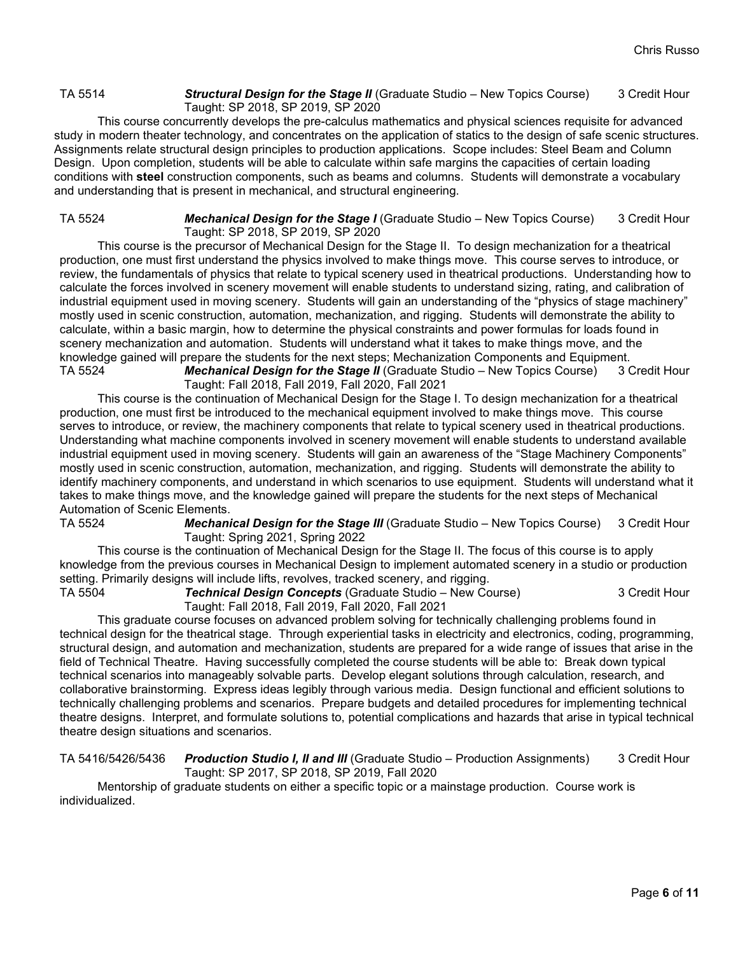#### TA 5514 *Structural Design for the Stage II* (Graduate Studio – New Topics Course) 3 Credit Hour Taught: SP 2018, SP 2019, SP 2020

This course concurrently develops the pre-calculus mathematics and physical sciences requisite for advanced study in modern theater technology, and concentrates on the application of statics to the design of safe scenic structures. Assignments relate structural design principles to production applications. Scope includes: Steel Beam and Column Design. Upon completion, students will be able to calculate within safe margins the capacities of certain loading conditions with **steel** construction components, such as beams and columns. Students will demonstrate a vocabulary and understanding that is present in mechanical, and structural engineering.

TA 5524 *Mechanical Design for the Stage I* (Graduate Studio – New Topics Course) 3 Credit Hour Taught: SP 2018, SP 2019, SP 2020

This course is the precursor of Mechanical Design for the Stage II. To design mechanization for a theatrical production, one must first understand the physics involved to make things move. This course serves to introduce, or review, the fundamentals of physics that relate to typical scenery used in theatrical productions. Understanding how to calculate the forces involved in scenery movement will enable students to understand sizing, rating, and calibration of industrial equipment used in moving scenery. Students will gain an understanding of the "physics of stage machinery" mostly used in scenic construction, automation, mechanization, and rigging. Students will demonstrate the ability to calculate, within a basic margin, how to determine the physical constraints and power formulas for loads found in scenery mechanization and automation. Students will understand what it takes to make things move, and the knowledge gained will prepare the students for the next steps; Mechanization Components and Equipment.<br>TA 5524 **Mechanical Design for the Stage II** (Graduate Studio – New Topics Course) 3 Credit Hour Mechanical Design for the Stage II (Graduate Studio – New Topics Course)

Taught: Fall 2018, Fall 2019, Fall 2020, Fall 2021

This course is the continuation of Mechanical Design for the Stage I. To design mechanization for a theatrical production, one must first be introduced to the mechanical equipment involved to make things move. This course serves to introduce, or review, the machinery components that relate to typical scenery used in theatrical productions. Understanding what machine components involved in scenery movement will enable students to understand available industrial equipment used in moving scenery. Students will gain an awareness of the "Stage Machinery Components" mostly used in scenic construction, automation, mechanization, and rigging. Students will demonstrate the ability to identify machinery components, and understand in which scenarios to use equipment. Students will understand what it takes to make things move, and the knowledge gained will prepare the students for the next steps of Mechanical Automation of Scenic Elements.<br>TA 5524 Mechani

Mechanical Design for the Stage III (Graduate Studio - New Topics Course) 3 Credit Hour Taught: Spring 2021, Spring 2022

This course is the continuation of Mechanical Design for the Stage II. The focus of this course is to apply knowledge from the previous courses in Mechanical Design to implement automated scenery in a studio or production setting. Primarily designs will include lifts, revolves, tracked scenery, and rigging.<br>TA 5504 **Technical Design Concepts** (Graduate Studio – New Co

**Technical Design Concepts** (Graduate Studio – New Course) 3 Credit Hour Taught: Fall 2018, Fall 2019, Fall 2020, Fall 2021

This graduate course focuses on advanced problem solving for technically challenging problems found in technical design for the theatrical stage. Through experiential tasks in electricity and electronics, coding, programming, structural design, and automation and mechanization, students are prepared for a wide range of issues that arise in the field of Technical Theatre. Having successfully completed the course students will be able to: Break down typical technical scenarios into manageably solvable parts. Develop elegant solutions through calculation, research, and collaborative brainstorming. Express ideas legibly through various media. Design functional and efficient solutions to technically challenging problems and scenarios. Prepare budgets and detailed procedures for implementing technical theatre designs. Interpret, and formulate solutions to, potential complications and hazards that arise in typical technical theatre design situations and scenarios.

TA 5416/5426/5436 *Production Studio I, II and III* (Graduate Studio – Production Assignments) 3 Credit Hour Taught: SP 2017, SP 2018, SP 2019, Fall 2020

Mentorship of graduate students on either a specific topic or a mainstage production. Course work is individualized.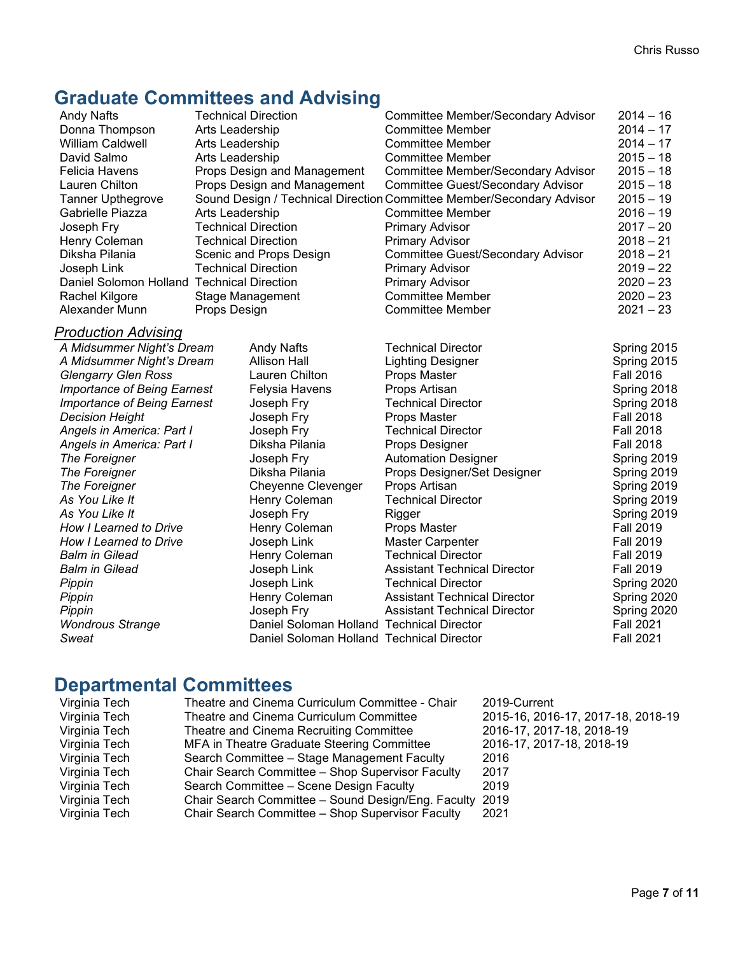# **Graduate Committees and Advising**

| <b>Andy Nafts</b>                          | <b>Technical Direction</b> |                                           | <b>Committee Member/Secondary Advisor</b>                             | $2014 - 16$      |
|--------------------------------------------|----------------------------|-------------------------------------------|-----------------------------------------------------------------------|------------------|
| Donna Thompson                             | Arts Leadership            |                                           | <b>Committee Member</b>                                               | $2014 - 17$      |
| <b>William Caldwell</b>                    | Arts Leadership            |                                           | <b>Committee Member</b>                                               | $2014 - 17$      |
| David Salmo                                | Arts Leadership            |                                           | <b>Committee Member</b>                                               | $2015 - 18$      |
| <b>Felicia Havens</b>                      |                            | Props Design and Management               | Committee Member/Secondary Advisor                                    | $2015 - 18$      |
| Lauren Chilton                             |                            | Props Design and Management               | <b>Committee Guest/Secondary Advisor</b>                              | $2015 - 18$      |
| <b>Tanner Upthegrove</b>                   |                            |                                           | Sound Design / Technical Direction Committee Member/Secondary Advisor | $2015 - 19$      |
| Gabrielle Piazza                           | Arts Leadership            |                                           | <b>Committee Member</b>                                               | $2016 - 19$      |
| Joseph Fry                                 |                            | <b>Technical Direction</b>                | <b>Primary Advisor</b>                                                | $2017 - 20$      |
| Henry Coleman                              |                            | <b>Technical Direction</b>                | <b>Primary Advisor</b>                                                | $2018 - 21$      |
| Diksha Pilania                             |                            | Scenic and Props Design                   | <b>Committee Guest/Secondary Advisor</b>                              | $2018 - 21$      |
| Joseph Link                                |                            | <b>Technical Direction</b>                | <b>Primary Advisor</b>                                                | $2019 - 22$      |
| Daniel Solomon Holland Technical Direction |                            |                                           | <b>Primary Advisor</b>                                                | $2020 - 23$      |
| Rachel Kilgore                             |                            | <b>Stage Management</b>                   | <b>Committee Member</b>                                               | $2020 - 23$      |
| Alexander Munn                             | Props Design               |                                           | <b>Committee Member</b>                                               | $2021 - 23$      |
| <u> Production Advising</u>                |                            |                                           |                                                                       |                  |
| A Midsummer Night's Dream                  |                            | <b>Andy Nafts</b>                         | <b>Technical Director</b>                                             | Spring 2015      |
| A Midsummer Night's Dream                  |                            | Allison Hall                              | <b>Lighting Designer</b>                                              | Spring 2015      |
| <b>Glengarry Glen Ross</b>                 |                            | Lauren Chilton                            | Props Master                                                          | <b>Fall 2016</b> |
| <b>Importance of Being Earnest</b>         |                            | Felysia Havens                            | Props Artisan                                                         | Spring 2018      |
| <b>Importance of Being Earnest</b>         |                            | Joseph Fry                                | <b>Technical Director</b>                                             | Spring 2018      |
| <b>Decision Height</b>                     |                            | Joseph Fry                                | Props Master                                                          | <b>Fall 2018</b> |
| Angels in America: Part I                  |                            | Joseph Fry                                | <b>Technical Director</b>                                             | <b>Fall 2018</b> |
| Angels in America: Part I                  |                            | Diksha Pilania                            | Props Designer                                                        | <b>Fall 2018</b> |
| The Foreigner                              |                            | Joseph Fry                                | <b>Automation Designer</b>                                            | Spring 2019      |
| The Foreigner                              |                            | Diksha Pilania                            | Props Designer/Set Designer                                           | Spring 2019      |
| The Foreigner                              |                            | Cheyenne Clevenger                        | Props Artisan                                                         | Spring 2019      |
| As You Like It                             |                            | Henry Coleman                             | <b>Technical Director</b>                                             | Spring 2019      |
| As You Like It                             |                            | Joseph Fry                                | Rigger                                                                | Spring 2019      |
| How I Learned to Drive                     |                            | Henry Coleman                             | Props Master                                                          | <b>Fall 2019</b> |
| How I Learned to Drive                     |                            | Joseph Link                               | <b>Master Carpenter</b>                                               | <b>Fall 2019</b> |
| <b>Balm in Gilead</b>                      |                            | Henry Coleman                             | <b>Technical Director</b>                                             | <b>Fall 2019</b> |
| <b>Balm in Gilead</b>                      |                            | Joseph Link                               | <b>Assistant Technical Director</b>                                   | <b>Fall 2019</b> |
| Pippin                                     |                            | Joseph Link                               | <b>Technical Director</b>                                             | Spring 2020      |
| Pippin                                     |                            | Henry Coleman                             | <b>Assistant Technical Director</b>                                   | Spring 2020      |
| Pippin                                     |                            | Joseph Fry                                | <b>Assistant Technical Director</b>                                   | Spring 2020      |
| <b>Wondrous Strange</b>                    |                            | Daniel Soloman Holland Technical Director |                                                                       | <b>Fall 2021</b> |
| Sweat                                      |                            | Daniel Soloman Holland Technical Director |                                                                       | <b>Fall 2021</b> |

# **Departmental Committees**

| Virginia Tech | Theatre and Cinema Curriculum Committee - Chair    | 2019-Current                       |
|---------------|----------------------------------------------------|------------------------------------|
| Virginia Tech | Theatre and Cinema Curriculum Committee            | 2015-16, 2016-17, 2017-18, 2018-19 |
| Virginia Tech | Theatre and Cinema Recruiting Committee            | 2016-17, 2017-18, 2018-19          |
| Virginia Tech | MFA in Theatre Graduate Steering Committee         | 2016-17, 2017-18, 2018-19          |
| Virginia Tech | Search Committee - Stage Management Faculty        | 2016                               |
| Virginia Tech | Chair Search Committee - Shop Supervisor Faculty   | 2017                               |
| Virginia Tech | Search Committee - Scene Design Faculty            | 2019                               |
| Virginia Tech | Chair Search Committee - Sound Design/Eng. Faculty | 2019                               |
| Virginia Tech | Chair Search Committee - Shop Supervisor Faculty   | 2021                               |
|               |                                                    |                                    |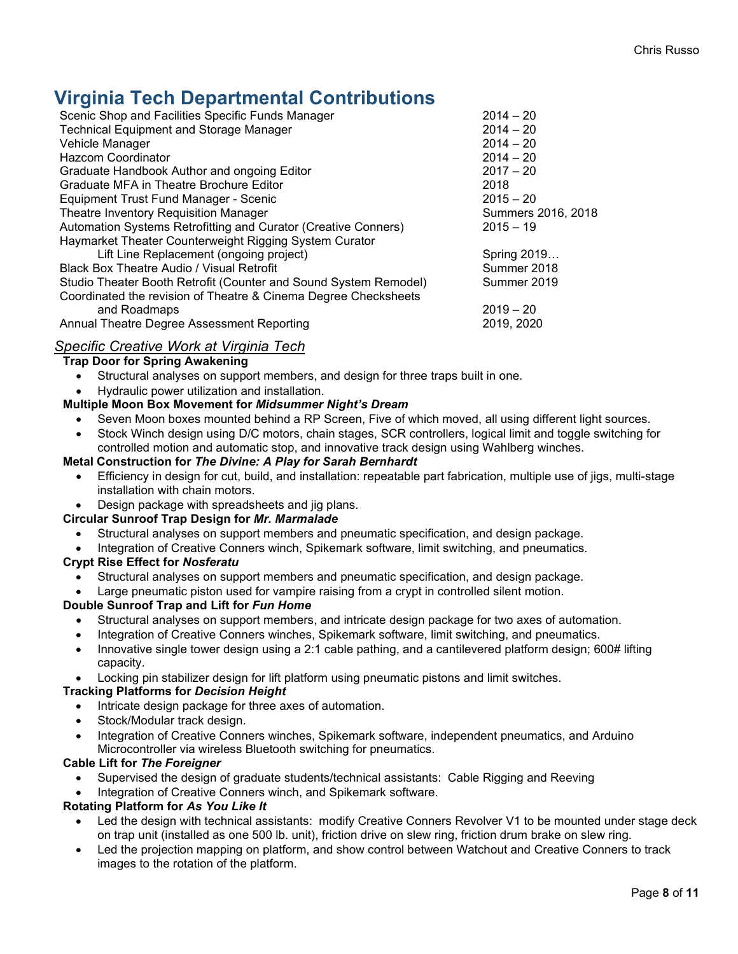# **Virginia Tech Departmental Contributions**

| Scenic Shop and Facilities Specific Funds Manager                | $2014 - 20$        |
|------------------------------------------------------------------|--------------------|
| <b>Technical Equipment and Storage Manager</b>                   | $2014 - 20$        |
| Vehicle Manager                                                  | $2014 - 20$        |
| <b>Hazcom Coordinator</b>                                        | $2014 - 20$        |
| Graduate Handbook Author and ongoing Editor                      | $2017 - 20$        |
| Graduate MFA in Theatre Brochure Editor                          | 2018               |
| Equipment Trust Fund Manager - Scenic                            | $2015 - 20$        |
| Theatre Inventory Requisition Manager                            | Summers 2016, 2018 |
| Automation Systems Retrofitting and Curator (Creative Conners)   | $2015 - 19$        |
| Haymarket Theater Counterweight Rigging System Curator           |                    |
| Lift Line Replacement (ongoing project)                          | Spring 2019        |
| Black Box Theatre Audio / Visual Retrofit                        | Summer 2018        |
| Studio Theater Booth Retrofit (Counter and Sound System Remodel) | Summer 2019        |
| Coordinated the revision of Theatre & Cinema Degree Checksheets  |                    |
| and Roadmaps                                                     | $2019 - 20$        |
| Annual Theatre Degree Assessment Reporting                       | 2019, 2020         |
|                                                                  |                    |

# *Specific Creative Work at Virginia Tech*

# **Trap Door for Spring Awakening**

- Structural analyses on support members, and design for three traps built in one.
- Hydraulic power utilization and installation.

# **Multiple Moon Box Movement for** *Midsummer Night's Dream*

- Seven Moon boxes mounted behind a RP Screen, Five of which moved, all using different light sources.
- Stock Winch design using D/C motors, chain stages, SCR controllers, logical limit and toggle switching for controlled motion and automatic stop, and innovative track design using Wahlberg winches.

# **Metal Construction for** *The Divine: A Play for Sarah Bernhardt*

- Efficiency in design for cut, build, and installation: repeatable part fabrication, multiple use of jigs, multi-stage installation with chain motors.
- Design package with spreadsheets and jig plans.

# **Circular Sunroof Trap Design for** *Mr. Marmalade*

- Structural analyses on support members and pneumatic specification, and design package.
- Integration of Creative Conners winch, Spikemark software, limit switching, and pneumatics.

# **Crypt Rise Effect for** *Nosferatu*

- Structural analyses on support members and pneumatic specification, and design package.
- Large pneumatic piston used for vampire raising from a crypt in controlled silent motion.

# **Double Sunroof Trap and Lift for** *Fun Home*

- Structural analyses on support members, and intricate design package for two axes of automation.
- Integration of Creative Conners winches, Spikemark software, limit switching, and pneumatics.
- Innovative single tower design using a 2:1 cable pathing, and a cantilevered platform design; 600# lifting capacity.
- Locking pin stabilizer design for lift platform using pneumatic pistons and limit switches.

# **Tracking Platforms for** *Decision Height*

- Intricate design package for three axes of automation.
- Stock/Modular track design.
- Integration of Creative Conners winches, Spikemark software, independent pneumatics, and Arduino Microcontroller via wireless Bluetooth switching for pneumatics.

# **Cable Lift for** *The Foreigner*

• Supervised the design of graduate students/technical assistants: Cable Rigging and Reeving

Integration of Creative Conners winch, and Spikemark software.

# **Rotating Platform for** *As You Like It*

- Led the design with technical assistants: modify Creative Conners Revolver V1 to be mounted under stage deck on trap unit (installed as one 500 lb. unit), friction drive on slew ring, friction drum brake on slew ring.
- Led the projection mapping on platform, and show control between Watchout and Creative Conners to track images to the rotation of the platform.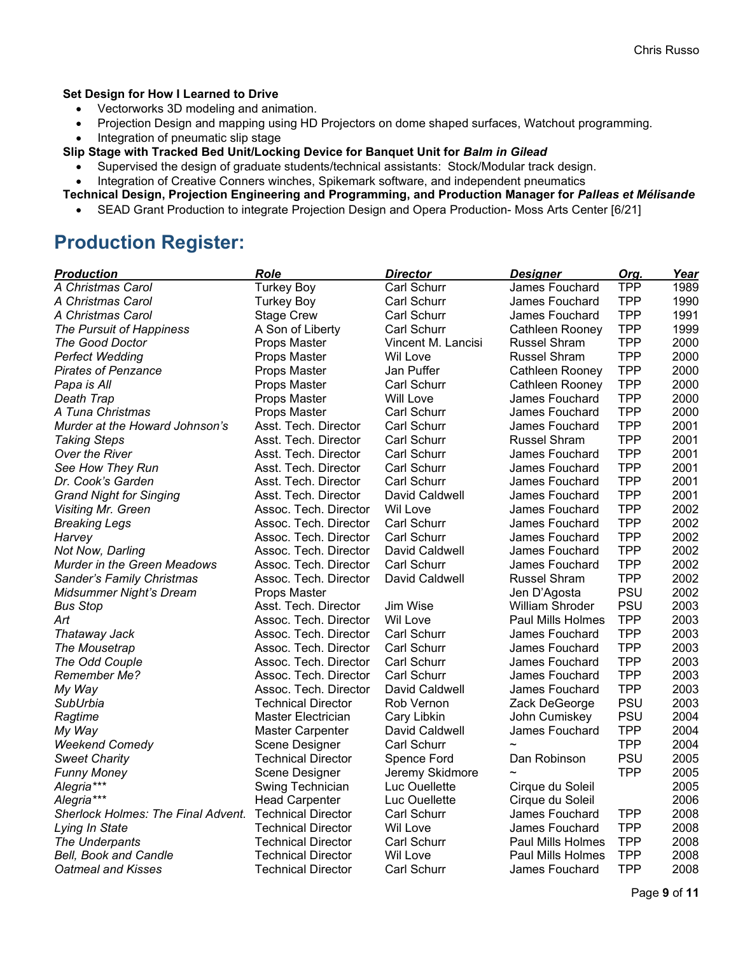# **Set Design for How I Learned to Drive**

- Vectorworks 3D modeling and animation.
- Projection Design and mapping using HD Projectors on dome shaped surfaces, Watchout programming.
- Integration of pneumatic slip stage
- **Slip Stage with Tracked Bed Unit/Locking Device for Banquet Unit for** *Balm in Gilead* 
	- Supervised the design of graduate students/technical assistants: Stock/Modular track design.

• Integration of Creative Conners winches, Spikemark software, and independent pneumatics

**Technical Design, Projection Engineering and Programming, and Production Manager for** *Palleas et Mélisande*

• SEAD Grant Production to integrate Projection Design and Opera Production- Moss Arts Center [6/21]

# **Production Register:**

| <b>Role</b><br><b>Production</b><br><b>Director</b>                            | <b>Designer</b>          | Org.       | Year |
|--------------------------------------------------------------------------------|--------------------------|------------|------|
| A Christmas Carol<br><b>Turkey Boy</b><br><b>Carl Schurr</b>                   | James Fouchard           | <b>TPP</b> | 1989 |
| Carl Schurr<br>A Christmas Carol<br><b>Turkey Boy</b>                          | James Fouchard           | <b>TPP</b> | 1990 |
| <b>Carl Schurr</b><br>A Christmas Carol<br><b>Stage Crew</b>                   | James Fouchard           | <b>TPP</b> | 1991 |
| A Son of Liberty<br><b>Carl Schurr</b><br>The Pursuit of Happiness             | Cathleen Rooney          | <b>TPP</b> | 1999 |
| The Good Doctor<br>Props Master<br>Vincent M. Lancisi                          | <b>Russel Shram</b>      | <b>TPP</b> | 2000 |
| <b>Perfect Wedding</b><br>Wil Love<br>Props Master                             | <b>Russel Shram</b>      | <b>TPP</b> | 2000 |
| Jan Puffer<br><b>Pirates of Penzance</b><br>Props Master                       | Cathleen Rooney          | <b>TPP</b> | 2000 |
| <b>Carl Schurr</b><br>Papa is All<br>Props Master                              | Cathleen Rooney          | <b>TPP</b> | 2000 |
| Death Trap<br>Props Master<br>Will Love                                        | James Fouchard           | <b>TPP</b> | 2000 |
| <b>Carl Schurr</b><br>A Tuna Christmas<br>Props Master                         | James Fouchard           | <b>TPP</b> | 2000 |
| Carl Schurr<br>Murder at the Howard Johnson's<br>Asst. Tech. Director          | James Fouchard           | <b>TPP</b> | 2001 |
| Asst. Tech. Director<br>Carl Schurr<br><b>Taking Steps</b>                     | <b>Russel Shram</b>      | <b>TPP</b> | 2001 |
| <b>Carl Schurr</b><br>Over the River<br>Asst. Tech. Director                   | James Fouchard           | <b>TPP</b> | 2001 |
| <b>Carl Schurr</b><br>See How They Run<br>Asst. Tech. Director                 | James Fouchard           | <b>TPP</b> | 2001 |
| <b>Carl Schurr</b><br>Dr. Cook's Garden<br>Asst. Tech. Director                | James Fouchard           | <b>TPP</b> | 2001 |
| <b>Grand Night for Singing</b><br>Asst. Tech. Director<br>David Caldwell       | James Fouchard           | <b>TPP</b> | 2001 |
| Assoc. Tech. Director<br>Wil Love<br><b>Visiting Mr. Green</b>                 | James Fouchard           | <b>TPP</b> | 2002 |
| Assoc. Tech. Director<br>Carl Schurr<br><b>Breaking Legs</b>                   | James Fouchard           | <b>TPP</b> | 2002 |
| Assoc. Tech. Director<br><b>Carl Schurr</b><br>Harvey                          | James Fouchard           | <b>TPP</b> | 2002 |
| Assoc. Tech. Director<br>David Caldwell<br>Not Now, Darling                    | James Fouchard           | <b>TPP</b> | 2002 |
| Murder in the Green Meadows<br>Assoc. Tech. Director<br><b>Carl Schurr</b>     | James Fouchard           | <b>TPP</b> | 2002 |
| Assoc. Tech. Director<br>David Caldwell<br>Sander's Family Christmas           | <b>Russel Shram</b>      | <b>TPP</b> | 2002 |
| <b>Midsummer Night's Dream</b><br>Props Master                                 | Jen D'Agosta             | <b>PSU</b> | 2002 |
| Jim Wise<br><b>Bus Stop</b><br>Asst. Tech. Director                            | <b>William Shroder</b>   | <b>PSU</b> | 2003 |
| Art<br>Assoc. Tech. Director<br>Wil Love                                       | <b>Paul Mills Holmes</b> | <b>TPP</b> | 2003 |
| <b>Carl Schurr</b><br>Assoc. Tech. Director<br>Thataway Jack                   | James Fouchard           | <b>TPP</b> | 2003 |
| <b>Carl Schurr</b><br>The Mousetrap<br>Assoc. Tech. Director                   | James Fouchard           | <b>TPP</b> | 2003 |
| The Odd Couple<br>Assoc. Tech. Director<br><b>Carl Schurr</b>                  | James Fouchard           | <b>TPP</b> | 2003 |
| Assoc. Tech. Director<br><b>Carl Schurr</b><br>Remember Me?                    | James Fouchard           | <b>TPP</b> | 2003 |
| Assoc. Tech. Director<br>David Caldwell<br>My Way                              | James Fouchard           | <b>TPP</b> | 2003 |
| SubUrbia<br>Technical Director<br>Rob Vernon                                   | Zack DeGeorge            | <b>PSU</b> | 2003 |
| Ragtime<br>Master Electrician<br>Cary Libkin                                   | John Cumiskey            | PSU        | 2004 |
| <b>Master Carpenter</b><br>David Caldwell<br>My Way                            | James Fouchard           | <b>TPP</b> | 2004 |
| <b>Weekend Comedy</b><br><b>Carl Schurr</b><br>Scene Designer                  |                          | <b>TPP</b> | 2004 |
| <b>Technical Director</b><br><b>Sweet Charity</b><br>Spence Ford               | Dan Robinson             | <b>PSU</b> | 2005 |
| Scene Designer<br>Jeremy Skidmore<br><b>Funny Money</b>                        | $\overline{\phantom{0}}$ | <b>TPP</b> | 2005 |
| Alegria***<br>Swing Technician<br>Luc Ouellette                                | Cirque du Soleil         |            | 2005 |
| Alegria***<br><b>Head Carpenter</b><br>Luc Ouellette                           | Cirque du Soleil         |            | 2006 |
| Sherlock Holmes: The Final Advent.<br><b>Technical Director</b><br>Carl Schurr | James Fouchard           | <b>TPP</b> | 2008 |
| Wil Love<br>Lying In State<br><b>Technical Director</b>                        | James Fouchard           | <b>TPP</b> | 2008 |
| Technical Director<br><b>Carl Schurr</b><br>The Underpants                     | <b>Paul Mills Holmes</b> | <b>TPP</b> | 2008 |
| <b>Bell, Book and Candle</b><br>Technical Director<br>Wil Love                 | Paul Mills Holmes        | <b>TPP</b> | 2008 |
| <b>Oatmeal and Kisses</b><br><b>Technical Director</b><br><b>Carl Schurr</b>   | James Fouchard           | <b>TPP</b> | 2008 |